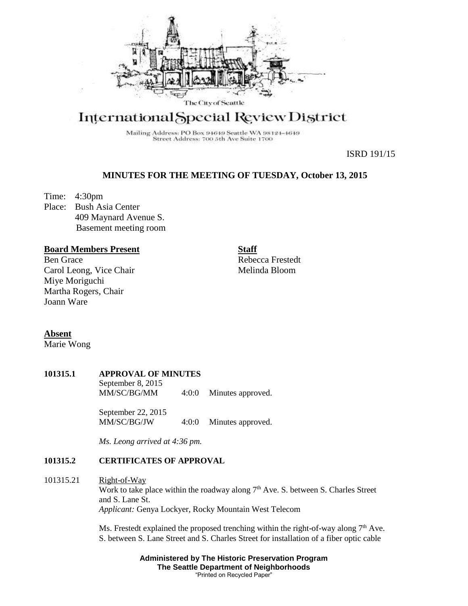

# International Special Review District

Mailing Address: PO Box 94649 Seattle WA 98124-4649 Street Address: 700 5th Ave Suite 1700

ISRD 191/15

# **MINUTES FOR THE MEETING OF TUESDAY, October 13, 2015**

Time: 4:30pm Place: Bush Asia Center 409 Maynard Avenue S. Basement meeting room

## **Board Members Present**

Ben Grace Carol Leong, Vice Chair Miye Moriguchi Martha Rogers, Chair Joann Ware

**Staff** Rebecca Frestedt Melinda Bloom

**Absent**

Marie Wong

#### **101315.1 APPROVAL OF MINUTES**

September 8, 2015 MM/SC/BG/MM 4:0:0 Minutes approved.

September 22, 2015<br>MM/SC/BG/JW  $4:0:0$  Minutes approved.

*Ms. Leong arrived at 4:36 pm.*

## **101315.2 CERTIFICATES OF APPROVAL**

## 101315.21 Right-of-Way Work to take place within the roadway along  $7<sup>th</sup>$  Ave. S. between S. Charles Street and S. Lane St. *Applicant:* Genya Lockyer, Rocky Mountain West Telecom

Ms. Frestedt explained the proposed trenching within the right-of-way along  $7<sup>th</sup>$  Ave. S. between S. Lane Street and S. Charles Street for installation of a fiber optic cable

> **Administered by The Historic Preservation Program The Seattle Department of Neighborhoods** "Printed on Recycled Paper"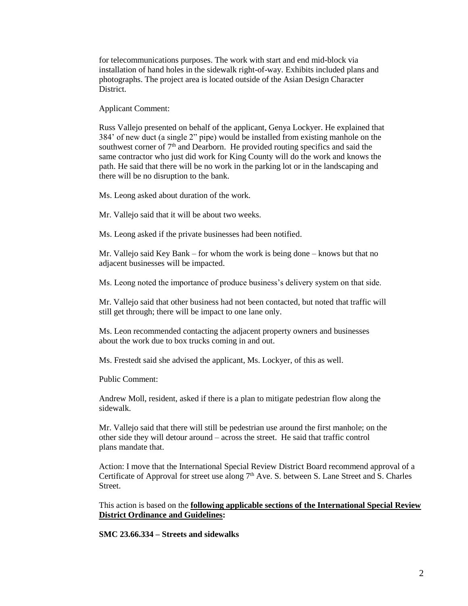for telecommunications purposes. The work with start and end mid-block via installation of hand holes in the sidewalk right-of-way. Exhibits included plans and photographs. The project area is located outside of the Asian Design Character District.

Applicant Comment:

Russ Vallejo presented on behalf of the applicant, Genya Lockyer. He explained that 384' of new duct (a single 2" pipe) would be installed from existing manhole on the southwest corner of  $7<sup>th</sup>$  and Dearborn. He provided routing specifics and said the same contractor who just did work for King County will do the work and knows the path. He said that there will be no work in the parking lot or in the landscaping and there will be no disruption to the bank.

Ms. Leong asked about duration of the work.

Mr. Vallejo said that it will be about two weeks.

Ms. Leong asked if the private businesses had been notified.

Mr. Vallejo said Key Bank – for whom the work is being done – knows but that no adjacent businesses will be impacted.

Ms. Leong noted the importance of produce business's delivery system on that side.

Mr. Vallejo said that other business had not been contacted, but noted that traffic will still get through; there will be impact to one lane only.

Ms. Leon recommended contacting the adjacent property owners and businesses about the work due to box trucks coming in and out.

Ms. Frestedt said she advised the applicant, Ms. Lockyer, of this as well.

Public Comment:

Andrew Moll, resident, asked if there is a plan to mitigate pedestrian flow along the sidewalk.

Mr. Vallejo said that there will still be pedestrian use around the first manhole; on the other side they will detour around – across the street. He said that traffic control plans mandate that.

Action: I move that the International Special Review District Board recommend approval of a Certificate of Approval for street use along  $7<sup>th</sup>$  Ave. S. between S. Lane Street and S. Charles **Street** 

This action is based on the **following applicable sections of the International Special Review District Ordinance and Guidelines:** 

**SMC 23.66.334 – Streets and sidewalks**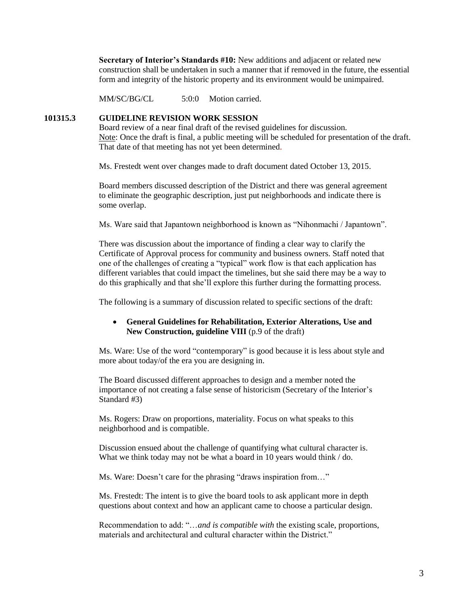**Secretary of Interior's Standards #10:** New additions and adjacent or related new construction shall be undertaken in such a manner that if removed in the future, the essential form and integrity of the historic property and its environment would be unimpaired.

MM/SC/BG/CL 5:0:0 Motion carried.

#### **101315.3 GUIDELINE REVISION WORK SESSION**

Board review of a near final draft of the revised guidelines for discussion. Note: Once the draft is final, a public meeting will be scheduled for presentation of the draft. That date of that meeting has not yet been determined.

Ms. Frestedt went over changes made to draft document dated October 13, 2015.

Board members discussed description of the District and there was general agreement to eliminate the geographic description, just put neighborhoods and indicate there is some overlap.

Ms. Ware said that Japantown neighborhood is known as "Nihonmachi / Japantown".

There was discussion about the importance of finding a clear way to clarify the Certificate of Approval process for community and business owners. Staff noted that one of the challenges of creating a "typical" work flow is that each application has different variables that could impact the timelines, but she said there may be a way to do this graphically and that she'll explore this further during the formatting process.

The following is a summary of discussion related to specific sections of the draft:

### **General Guidelines for Rehabilitation, Exterior Alterations, Use and New Construction, guideline VIII** (p.9 of the draft)

Ms. Ware: Use of the word "contemporary" is good because it is less about style and more about today/of the era you are designing in.

The Board discussed different approaches to design and a member noted the importance of not creating a false sense of historicism (Secretary of the Interior's Standard #3)

Ms. Rogers: Draw on proportions, materiality. Focus on what speaks to this neighborhood and is compatible.

Discussion ensued about the challenge of quantifying what cultural character is. What we think today may not be what a board in 10 years would think / do.

Ms. Ware: Doesn't care for the phrasing "draws inspiration from…"

Ms. Frestedt: The intent is to give the board tools to ask applicant more in depth questions about context and how an applicant came to choose a particular design.

Recommendation to add: "…*and is compatible with* the existing scale, proportions, materials and architectural and cultural character within the District."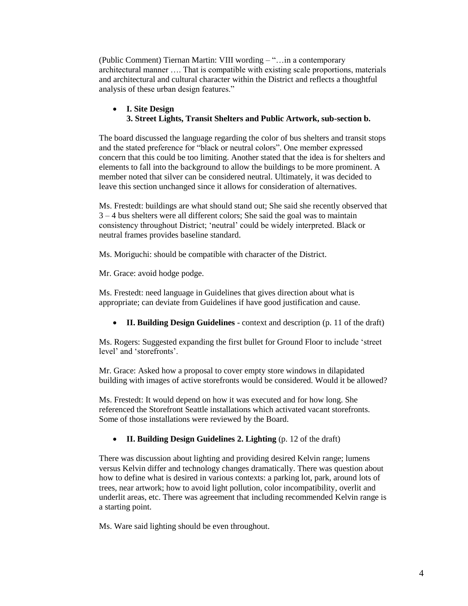(Public Comment) Tiernan Martin: VIII wording – "…in a contemporary architectural manner …. That is compatible with existing scale proportions, materials and architectural and cultural character within the District and reflects a thoughtful analysis of these urban design features."

### **I. Site Design 3. Street Lights, Transit Shelters and Public Artwork, sub-section b.**

The board discussed the language regarding the color of bus shelters and transit stops and the stated preference for "black or neutral colors". One member expressed concern that this could be too limiting. Another stated that the idea is for shelters and elements to fall into the background to allow the buildings to be more prominent. A member noted that silver can be considered neutral. Ultimately, it was decided to leave this section unchanged since it allows for consideration of alternatives.

Ms. Frestedt: buildings are what should stand out; She said she recently observed that 3 – 4 bus shelters were all different colors; She said the goal was to maintain consistency throughout District; 'neutral' could be widely interpreted. Black or neutral frames provides baseline standard.

Ms. Moriguchi: should be compatible with character of the District.

Mr. Grace: avoid hodge podge.

Ms. Frestedt: need language in Guidelines that gives direction about what is appropriate; can deviate from Guidelines if have good justification and cause.

**II. Building Design Guidelines** - context and description (p. 11 of the draft)

Ms. Rogers: Suggested expanding the first bullet for Ground Floor to include 'street level' and 'storefronts'.

Mr. Grace: Asked how a proposal to cover empty store windows in dilapidated building with images of active storefronts would be considered. Would it be allowed?

Ms. Frestedt: It would depend on how it was executed and for how long. She referenced the Storefront Seattle installations which activated vacant storefronts. Some of those installations were reviewed by the Board.

**II. Building Design Guidelines 2. Lighting** (p. 12 of the draft)

There was discussion about lighting and providing desired Kelvin range; lumens versus Kelvin differ and technology changes dramatically. There was question about how to define what is desired in various contexts: a parking lot, park, around lots of trees, near artwork; how to avoid light pollution, color incompatibility, overlit and underlit areas, etc. There was agreement that including recommended Kelvin range is a starting point.

Ms. Ware said lighting should be even throughout.